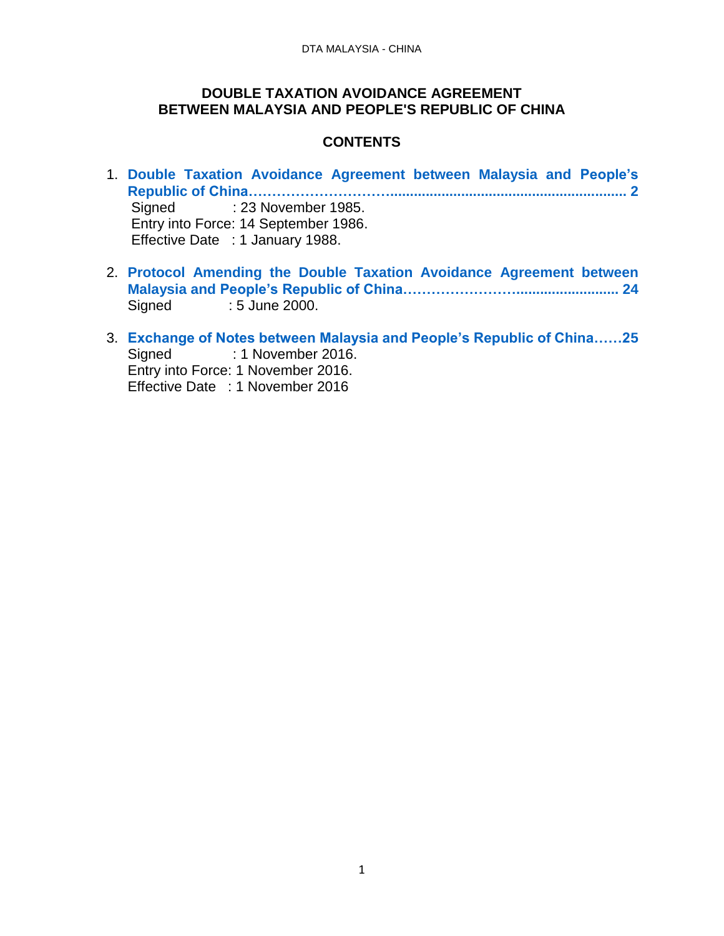#### **DOUBLE TAXATION AVOIDANCE AGREEMENT BETWEEN MALAYSIA AND PEOPLE'S REPUBLIC OF CHINA**

#### **CONTENTS**

- 1. **[Double Taxation Avoidance Agreement between Malaysia and People's](#page-1-0)  [Republic of China…………………………............................................................](#page-1-0) 2** Signed : 23 November 1985. Entry into Force: 14 September 1986. Effective Date : 1 January 1988.
- 2. **[Protocol Amending the Double Taxation Avoidance Agreement between](#page-23-0)  Malaysia and People's Republic of [China…………………….......................... 24](#page-23-0)** Signed : 5 June 2000.
- 3. **[Exchange of Notes between Malaysia and People's Republic of China……25](#page-24-0)** Signed : 1 November 2016. Entry into Force: 1 November 2016. Effective Date : 1 November 2016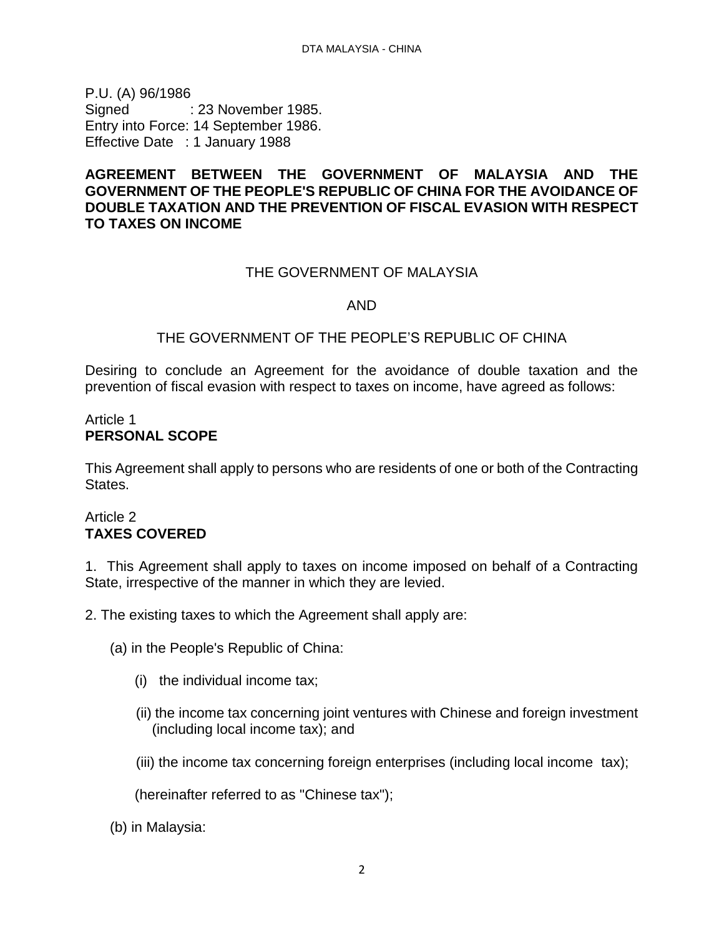<span id="page-1-0"></span>P.U. (A) 96/1986 Signed : 23 November 1985. Entry into Force: 14 September 1986. Effective Date : 1 January 1988

## **AGREEMENT BETWEEN THE GOVERNMENT OF MALAYSIA AND THE GOVERNMENT OF THE PEOPLE'S REPUBLIC OF CHINA FOR THE AVOIDANCE OF DOUBLE TAXATION AND THE PREVENTION OF FISCAL EVASION WITH RESPECT TO TAXES ON INCOME**

#### THE GOVERNMENT OF MALAYSIA

#### AND

## THE GOVERNMENT OF THE PEOPLE'S REPUBLIC OF CHINA

Desiring to conclude an Agreement for the avoidance of double taxation and the prevention of fiscal evasion with respect to taxes on income, have agreed as follows:

#### Article 1 **PERSONAL SCOPE**

This Agreement shall apply to persons who are residents of one or both of the Contracting States.

## Article 2 **TAXES COVERED**

1. This Agreement shall apply to taxes on income imposed on behalf of a Contracting State, irrespective of the manner in which they are levied.

2. The existing taxes to which the Agreement shall apply are:

(a) in the People's Republic of China:

- (i) the individual income tax;
- (ii) the income tax concerning joint ventures with Chinese and foreign investment (including local income tax); and
- (iii) the income tax concerning foreign enterprises (including local income tax);

(hereinafter referred to as "Chinese tax");

(b) in Malaysia: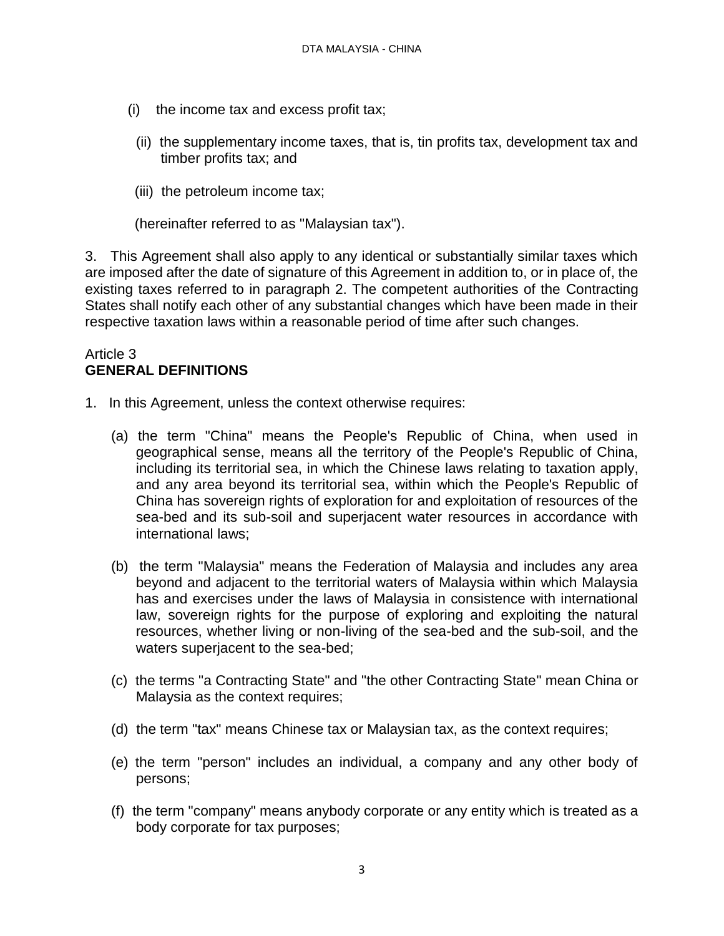- (i) the income tax and excess profit tax;
- (ii) the supplementary income taxes, that is, tin profits tax, development tax and timber profits tax; and
- (iii) the petroleum income tax;

(hereinafter referred to as "Malaysian tax").

3. This Agreement shall also apply to any identical or substantially similar taxes which are imposed after the date of signature of this Agreement in addition to, or in place of, the existing taxes referred to in paragraph 2. The competent authorities of the Contracting States shall notify each other of any substantial changes which have been made in their respective taxation laws within a reasonable period of time after such changes.

#### Article 3 **GENERAL DEFINITIONS**

- 1. In this Agreement, unless the context otherwise requires:
	- (a) the term "China" means the People's Republic of China, when used in geographical sense, means all the territory of the People's Republic of China, including its territorial sea, in which the Chinese laws relating to taxation apply, and any area beyond its territorial sea, within which the People's Republic of China has sovereign rights of exploration for and exploitation of resources of the sea-bed and its sub-soil and superjacent water resources in accordance with international laws;
	- (b) the term "Malaysia" means the Federation of Malaysia and includes any area beyond and adjacent to the territorial waters of Malaysia within which Malaysia has and exercises under the laws of Malaysia in consistence with international law, sovereign rights for the purpose of exploring and exploiting the natural resources, whether living or non-living of the sea-bed and the sub-soil, and the waters superjacent to the sea-bed;
	- (c) the terms "a Contracting State" and "the other Contracting State" mean China or Malaysia as the context requires;
	- (d) the term "tax" means Chinese tax or Malaysian tax, as the context requires;
	- (e) the term "person" includes an individual, a company and any other body of persons;
	- (f) the term "company" means anybody corporate or any entity which is treated as a body corporate for tax purposes;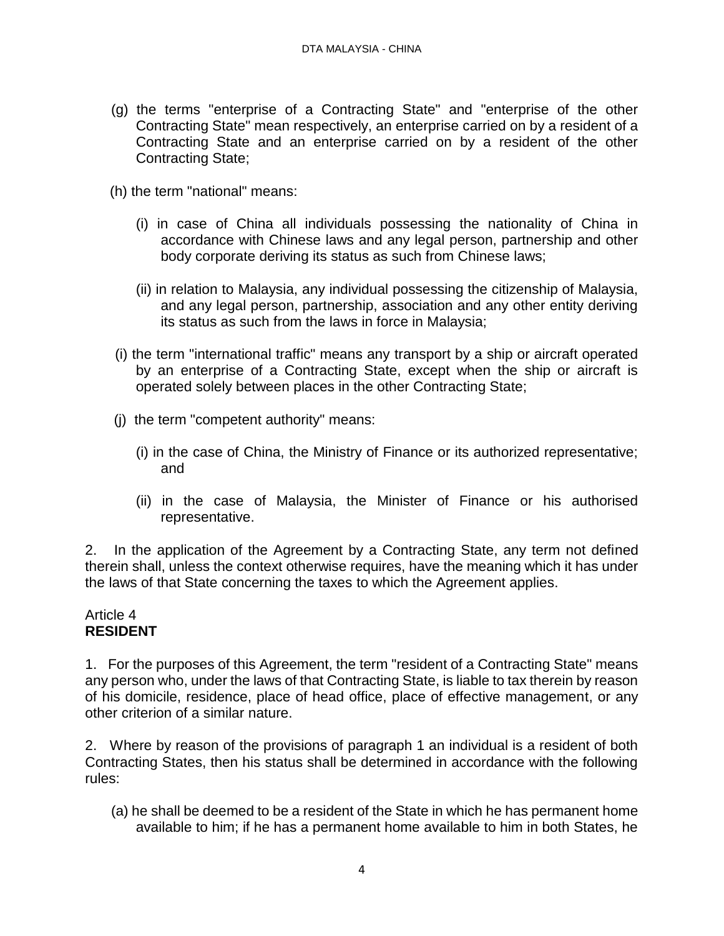(g) the terms "enterprise of a Contracting State" and "enterprise of the other Contracting State" mean respectively, an enterprise carried on by a resident of a Contracting State and an enterprise carried on by a resident of the other Contracting State;

(h) the term "national" means:

- (i) in case of China all individuals possessing the nationality of China in accordance with Chinese laws and any legal person, partnership and other body corporate deriving its status as such from Chinese laws;
- (ii) in relation to Malaysia, any individual possessing the citizenship of Malaysia, and any legal person, partnership, association and any other entity deriving its status as such from the laws in force in Malaysia;
- (i) the term "international traffic" means any transport by a ship or aircraft operated by an enterprise of a Contracting State, except when the ship or aircraft is operated solely between places in the other Contracting State;
- (j) the term "competent authority" means:
	- (i) in the case of China, the Ministry of Finance or its authorized representative; and
	- (ii) in the case of Malaysia, the Minister of Finance or his authorised representative.

2. In the application of the Agreement by a Contracting State, any term not defined therein shall, unless the context otherwise requires, have the meaning which it has under the laws of that State concerning the taxes to which the Agreement applies.

#### Article 4 **RESIDENT**

1. For the purposes of this Agreement, the term "resident of a Contracting State" means any person who, under the laws of that Contracting State, is liable to tax therein by reason of his domicile, residence, place of head office, place of effective management, or any other criterion of a similar nature.

2. Where by reason of the provisions of paragraph 1 an individual is a resident of both Contracting States, then his status shall be determined in accordance with the following rules:

(a) he shall be deemed to be a resident of the State in which he has permanent home available to him; if he has a permanent home available to him in both States, he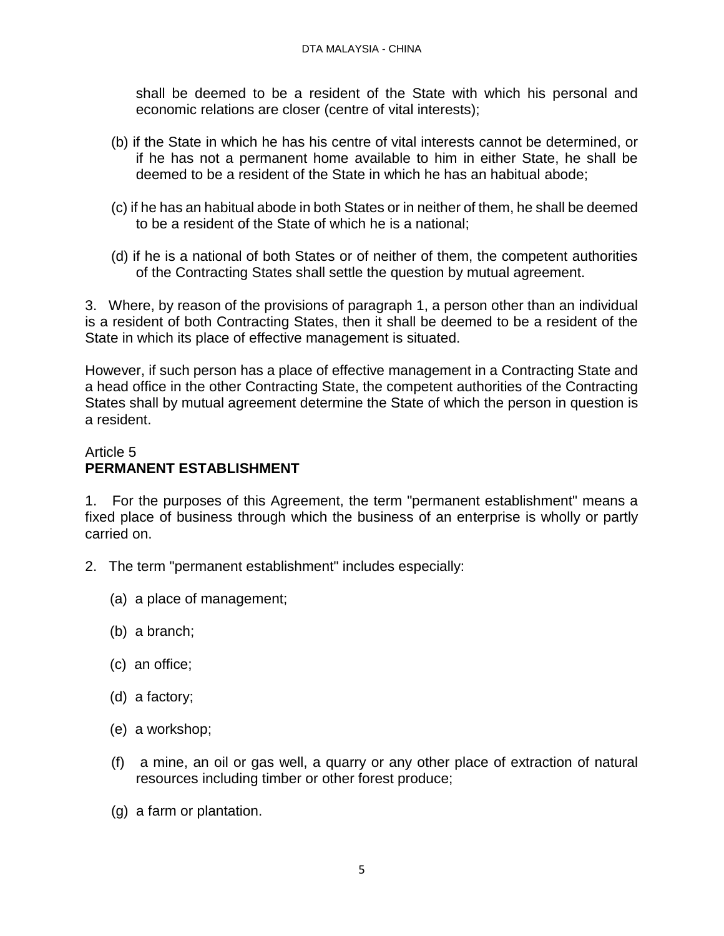shall be deemed to be a resident of the State with which his personal and economic relations are closer (centre of vital interests);

- (b) if the State in which he has his centre of vital interests cannot be determined, or if he has not a permanent home available to him in either State, he shall be deemed to be a resident of the State in which he has an habitual abode;
- (c) if he has an habitual abode in both States or in neither of them, he shall be deemed to be a resident of the State of which he is a national;
- (d) if he is a national of both States or of neither of them, the competent authorities of the Contracting States shall settle the question by mutual agreement.

3. Where, by reason of the provisions of paragraph 1, a person other than an individual is a resident of both Contracting States, then it shall be deemed to be a resident of the State in which its place of effective management is situated.

However, if such person has a place of effective management in a Contracting State and a head office in the other Contracting State, the competent authorities of the Contracting States shall by mutual agreement determine the State of which the person in question is a resident.

## Article 5 **PERMANENT ESTABLISHMENT**

1. For the purposes of this Agreement, the term "permanent establishment" means a fixed place of business through which the business of an enterprise is wholly or partly carried on.

- 2. The term "permanent establishment" includes especially:
	- (a) a place of management;
	- (b) a branch;
	- (c) an office;
	- (d) a factory;
	- (e) a workshop;
	- (f) a mine, an oil or gas well, a quarry or any other place of extraction of natural resources including timber or other forest produce;
	- (g) a farm or plantation.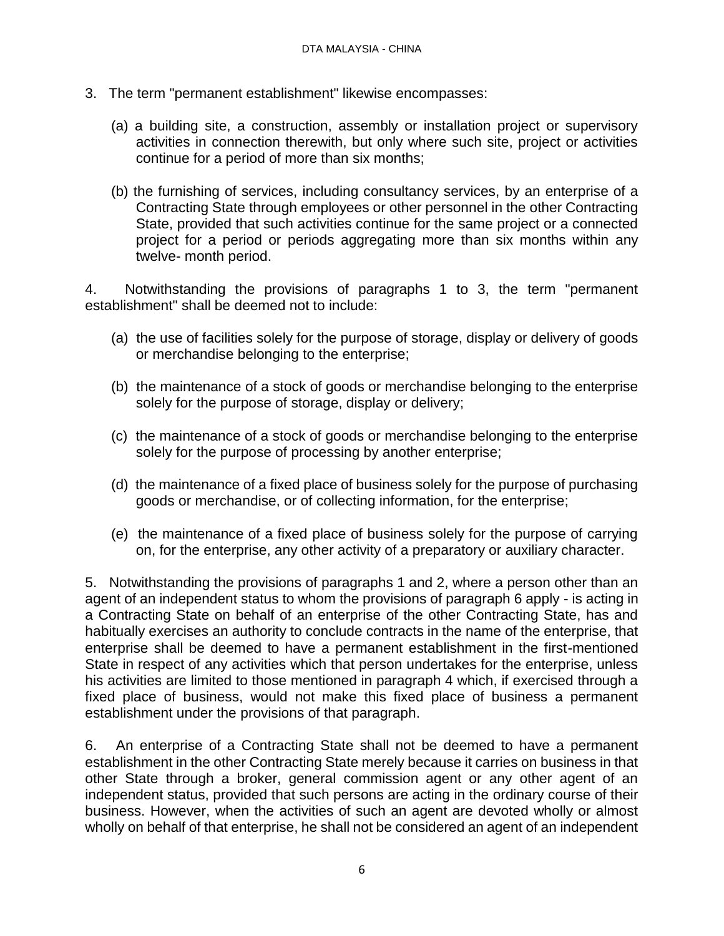- 3. The term "permanent establishment" likewise encompasses:
	- (a) a building site, a construction, assembly or installation project or supervisory activities in connection therewith, but only where such site, project or activities continue for a period of more than six months;
	- (b) the furnishing of services, including consultancy services, by an enterprise of a Contracting State through employees or other personnel in the other Contracting State, provided that such activities continue for the same project or a connected project for a period or periods aggregating more than six months within any twelve- month period.

4. Notwithstanding the provisions of paragraphs 1 to 3, the term "permanent establishment" shall be deemed not to include:

- (a) the use of facilities solely for the purpose of storage, display or delivery of goods or merchandise belonging to the enterprise;
- (b) the maintenance of a stock of goods or merchandise belonging to the enterprise solely for the purpose of storage, display or delivery;
- (c) the maintenance of a stock of goods or merchandise belonging to the enterprise solely for the purpose of processing by another enterprise;
- (d) the maintenance of a fixed place of business solely for the purpose of purchasing goods or merchandise, or of collecting information, for the enterprise;
- (e) the maintenance of a fixed place of business solely for the purpose of carrying on, for the enterprise, any other activity of a preparatory or auxiliary character.

5. Notwithstanding the provisions of paragraphs 1 and 2, where a person other than an agent of an independent status to whom the provisions of paragraph 6 apply - is acting in a Contracting State on behalf of an enterprise of the other Contracting State, has and habitually exercises an authority to conclude contracts in the name of the enterprise, that enterprise shall be deemed to have a permanent establishment in the first-mentioned State in respect of any activities which that person undertakes for the enterprise, unless his activities are limited to those mentioned in paragraph 4 which, if exercised through a fixed place of business, would not make this fixed place of business a permanent establishment under the provisions of that paragraph.

6. An enterprise of a Contracting State shall not be deemed to have a permanent establishment in the other Contracting State merely because it carries on business in that other State through a broker, general commission agent or any other agent of an independent status, provided that such persons are acting in the ordinary course of their business. However, when the activities of such an agent are devoted wholly or almost wholly on behalf of that enterprise, he shall not be considered an agent of an independent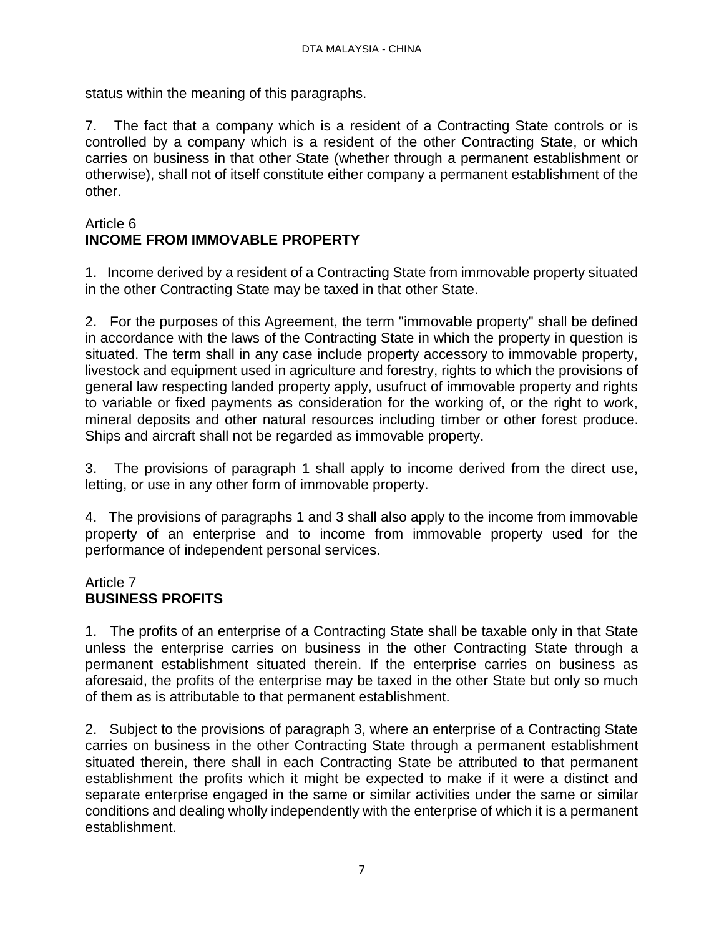status within the meaning of this paragraphs.

7. The fact that a company which is a resident of a Contracting State controls or is controlled by a company which is a resident of the other Contracting State, or which carries on business in that other State (whether through a permanent establishment or otherwise), shall not of itself constitute either company a permanent establishment of the other.

## Article 6 **INCOME FROM IMMOVABLE PROPERTY**

1. Income derived by a resident of a Contracting State from immovable property situated in the other Contracting State may be taxed in that other State.

2. For the purposes of this Agreement, the term "immovable property" shall be defined in accordance with the laws of the Contracting State in which the property in question is situated. The term shall in any case include property accessory to immovable property, livestock and equipment used in agriculture and forestry, rights to which the provisions of general law respecting landed property apply, usufruct of immovable property and rights to variable or fixed payments as consideration for the working of, or the right to work, mineral deposits and other natural resources including timber or other forest produce. Ships and aircraft shall not be regarded as immovable property.

3. The provisions of paragraph 1 shall apply to income derived from the direct use, letting, or use in any other form of immovable property.

4. The provisions of paragraphs 1 and 3 shall also apply to the income from immovable property of an enterprise and to income from immovable property used for the performance of independent personal services.

## Article 7 **BUSINESS PROFITS**

1. The profits of an enterprise of a Contracting State shall be taxable only in that State unless the enterprise carries on business in the other Contracting State through a permanent establishment situated therein. If the enterprise carries on business as aforesaid, the profits of the enterprise may be taxed in the other State but only so much of them as is attributable to that permanent establishment.

2. Subject to the provisions of paragraph 3, where an enterprise of a Contracting State carries on business in the other Contracting State through a permanent establishment situated therein, there shall in each Contracting State be attributed to that permanent establishment the profits which it might be expected to make if it were a distinct and separate enterprise engaged in the same or similar activities under the same or similar conditions and dealing wholly independently with the enterprise of which it is a permanent establishment.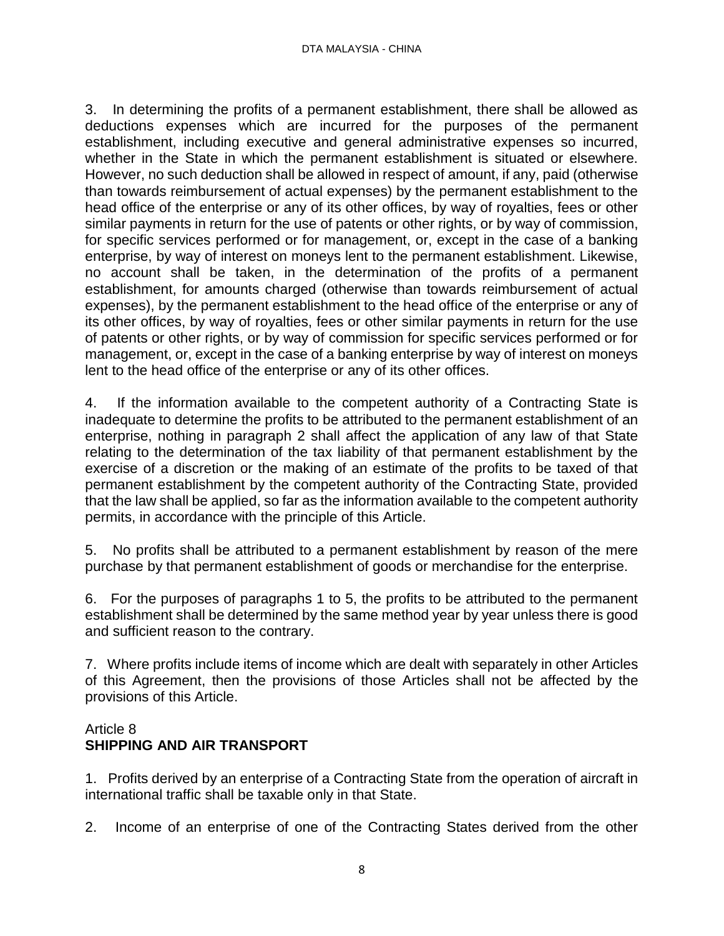3. In determining the profits of a permanent establishment, there shall be allowed as deductions expenses which are incurred for the purposes of the permanent establishment, including executive and general administrative expenses so incurred, whether in the State in which the permanent establishment is situated or elsewhere. However, no such deduction shall be allowed in respect of amount, if any, paid (otherwise than towards reimbursement of actual expenses) by the permanent establishment to the head office of the enterprise or any of its other offices, by way of royalties, fees or other similar payments in return for the use of patents or other rights, or by way of commission, for specific services performed or for management, or, except in the case of a banking enterprise, by way of interest on moneys lent to the permanent establishment. Likewise, no account shall be taken, in the determination of the profits of a permanent establishment, for amounts charged (otherwise than towards reimbursement of actual expenses), by the permanent establishment to the head office of the enterprise or any of its other offices, by way of royalties, fees or other similar payments in return for the use of patents or other rights, or by way of commission for specific services performed or for management, or, except in the case of a banking enterprise by way of interest on moneys lent to the head office of the enterprise or any of its other offices.

4. If the information available to the competent authority of a Contracting State is inadequate to determine the profits to be attributed to the permanent establishment of an enterprise, nothing in paragraph 2 shall affect the application of any law of that State relating to the determination of the tax liability of that permanent establishment by the exercise of a discretion or the making of an estimate of the profits to be taxed of that permanent establishment by the competent authority of the Contracting State, provided that the law shall be applied, so far as the information available to the competent authority permits, in accordance with the principle of this Article.

5. No profits shall be attributed to a permanent establishment by reason of the mere purchase by that permanent establishment of goods or merchandise for the enterprise.

6. For the purposes of paragraphs 1 to 5, the profits to be attributed to the permanent establishment shall be determined by the same method year by year unless there is good and sufficient reason to the contrary.

7. Where profits include items of income which are dealt with separately in other Articles of this Agreement, then the provisions of those Articles shall not be affected by the provisions of this Article.

# Article 8 **SHIPPING AND AIR TRANSPORT**

1. Profits derived by an enterprise of a Contracting State from the operation of aircraft in international traffic shall be taxable only in that State.

2. Income of an enterprise of one of the Contracting States derived from the other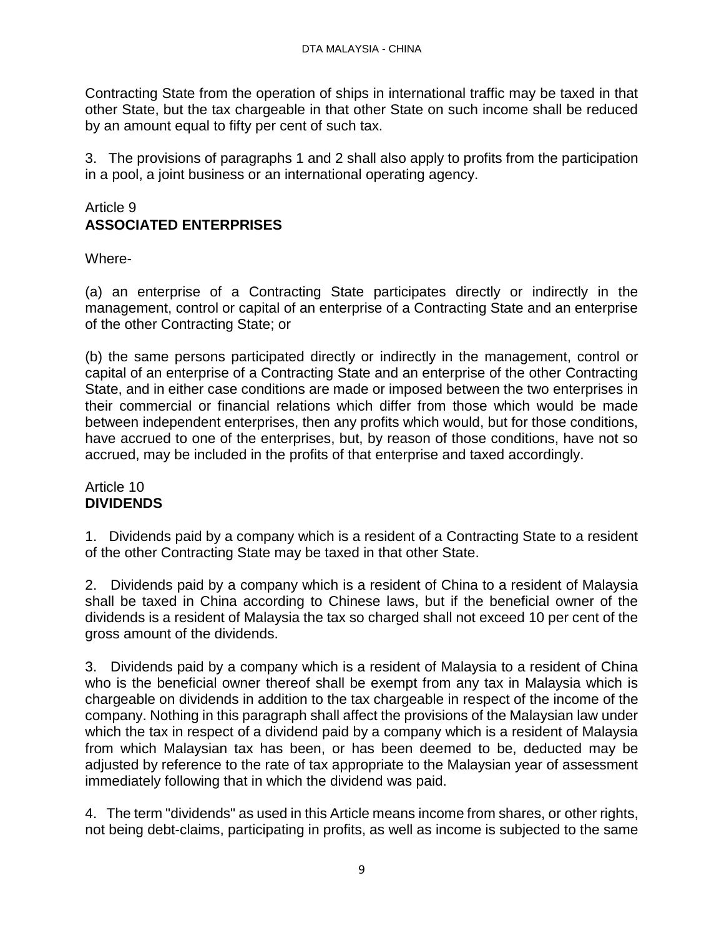Contracting State from the operation of ships in international traffic may be taxed in that other State, but the tax chargeable in that other State on such income shall be reduced by an amount equal to fifty per cent of such tax.

3. The provisions of paragraphs 1 and 2 shall also apply to profits from the participation in a pool, a joint business or an international operating agency.

## Article 9 **ASSOCIATED ENTERPRISES**

Where-

(a) an enterprise of a Contracting State participates directly or indirectly in the management, control or capital of an enterprise of a Contracting State and an enterprise of the other Contracting State; or

(b) the same persons participated directly or indirectly in the management, control or capital of an enterprise of a Contracting State and an enterprise of the other Contracting State, and in either case conditions are made or imposed between the two enterprises in their commercial or financial relations which differ from those which would be made between independent enterprises, then any profits which would, but for those conditions, have accrued to one of the enterprises, but, by reason of those conditions, have not so accrued, may be included in the profits of that enterprise and taxed accordingly.

## Article 10 **DIVIDENDS**

1. Dividends paid by a company which is a resident of a Contracting State to a resident of the other Contracting State may be taxed in that other State.

2. Dividends paid by a company which is a resident of China to a resident of Malaysia shall be taxed in China according to Chinese laws, but if the beneficial owner of the dividends is a resident of Malaysia the tax so charged shall not exceed 10 per cent of the gross amount of the dividends.

3. Dividends paid by a company which is a resident of Malaysia to a resident of China who is the beneficial owner thereof shall be exempt from any tax in Malaysia which is chargeable on dividends in addition to the tax chargeable in respect of the income of the company. Nothing in this paragraph shall affect the provisions of the Malaysian law under which the tax in respect of a dividend paid by a company which is a resident of Malaysia from which Malaysian tax has been, or has been deemed to be, deducted may be adjusted by reference to the rate of tax appropriate to the Malaysian year of assessment immediately following that in which the dividend was paid.

4. The term "dividends" as used in this Article means income from shares, or other rights, not being debt-claims, participating in profits, as well as income is subjected to the same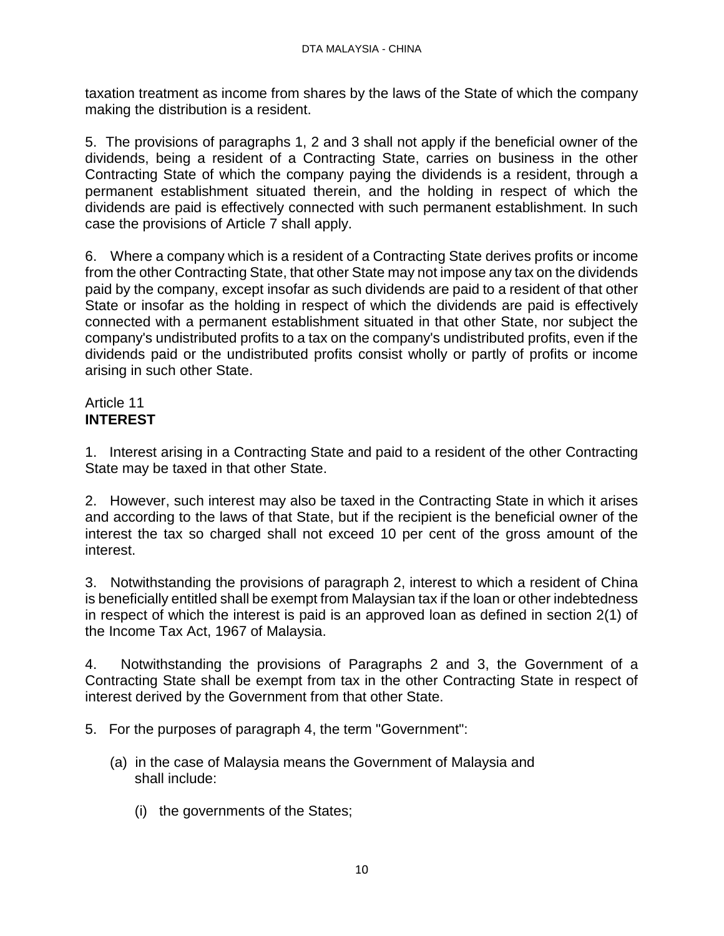taxation treatment as income from shares by the laws of the State of which the company making the distribution is a resident.

5. The provisions of paragraphs 1, 2 and 3 shall not apply if the beneficial owner of the dividends, being a resident of a Contracting State, carries on business in the other Contracting State of which the company paying the dividends is a resident, through a permanent establishment situated therein, and the holding in respect of which the dividends are paid is effectively connected with such permanent establishment. In such case the provisions of Article 7 shall apply.

6. Where a company which is a resident of a Contracting State derives profits or income from the other Contracting State, that other State may not impose any tax on the dividends paid by the company, except insofar as such dividends are paid to a resident of that other State or insofar as the holding in respect of which the dividends are paid is effectively connected with a permanent establishment situated in that other State, nor subject the company's undistributed profits to a tax on the company's undistributed profits, even if the dividends paid or the undistributed profits consist wholly or partly of profits or income arising in such other State.

## Article 11 **INTEREST**

1. Interest arising in a Contracting State and paid to a resident of the other Contracting State may be taxed in that other State.

2. However, such interest may also be taxed in the Contracting State in which it arises and according to the laws of that State, but if the recipient is the beneficial owner of the interest the tax so charged shall not exceed 10 per cent of the gross amount of the interest.

3. Notwithstanding the provisions of paragraph 2, interest to which a resident of China is beneficially entitled shall be exempt from Malaysian tax if the loan or other indebtedness in respect of which the interest is paid is an approved loan as defined in section 2(1) of the Income Tax Act, 1967 of Malaysia.

4. Notwithstanding the provisions of Paragraphs 2 and 3, the Government of a Contracting State shall be exempt from tax in the other Contracting State in respect of interest derived by the Government from that other State.

5. For the purposes of paragraph 4, the term "Government":

- (a) in the case of Malaysia means the Government of Malaysia and shall include:
	- (i) the governments of the States;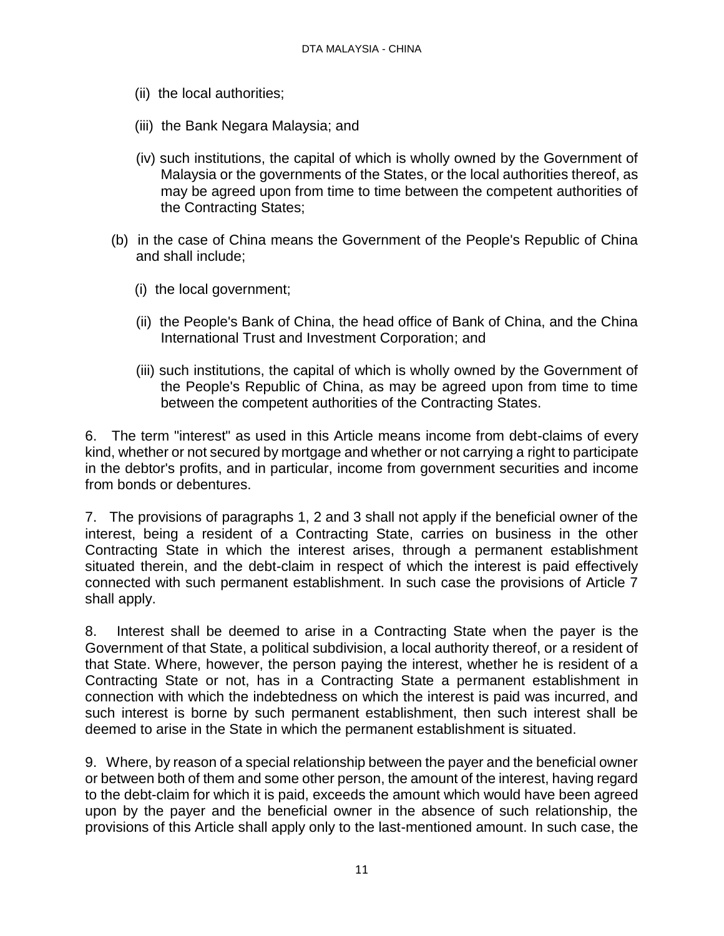- (ii) the local authorities;
- (iii) the Bank Negara Malaysia; and
- (iv) such institutions, the capital of which is wholly owned by the Government of Malaysia or the governments of the States, or the local authorities thereof, as may be agreed upon from time to time between the competent authorities of the Contracting States;
- (b) in the case of China means the Government of the People's Republic of China and shall include;
	- (i) the local government;
	- (ii) the People's Bank of China, the head office of Bank of China, and the China International Trust and Investment Corporation; and
	- (iii) such institutions, the capital of which is wholly owned by the Government of the People's Republic of China, as may be agreed upon from time to time between the competent authorities of the Contracting States.

6. The term "interest" as used in this Article means income from debt-claims of every kind, whether or not secured by mortgage and whether or not carrying a right to participate in the debtor's profits, and in particular, income from government securities and income from bonds or debentures.

7. The provisions of paragraphs 1, 2 and 3 shall not apply if the beneficial owner of the interest, being a resident of a Contracting State, carries on business in the other Contracting State in which the interest arises, through a permanent establishment situated therein, and the debt-claim in respect of which the interest is paid effectively connected with such permanent establishment. In such case the provisions of Article 7 shall apply.

8. Interest shall be deemed to arise in a Contracting State when the payer is the Government of that State, a political subdivision, a local authority thereof, or a resident of that State. Where, however, the person paying the interest, whether he is resident of a Contracting State or not, has in a Contracting State a permanent establishment in connection with which the indebtedness on which the interest is paid was incurred, and such interest is borne by such permanent establishment, then such interest shall be deemed to arise in the State in which the permanent establishment is situated.

9. Where, by reason of a special relationship between the payer and the beneficial owner or between both of them and some other person, the amount of the interest, having regard to the debt-claim for which it is paid, exceeds the amount which would have been agreed upon by the payer and the beneficial owner in the absence of such relationship, the provisions of this Article shall apply only to the last-mentioned amount. In such case, the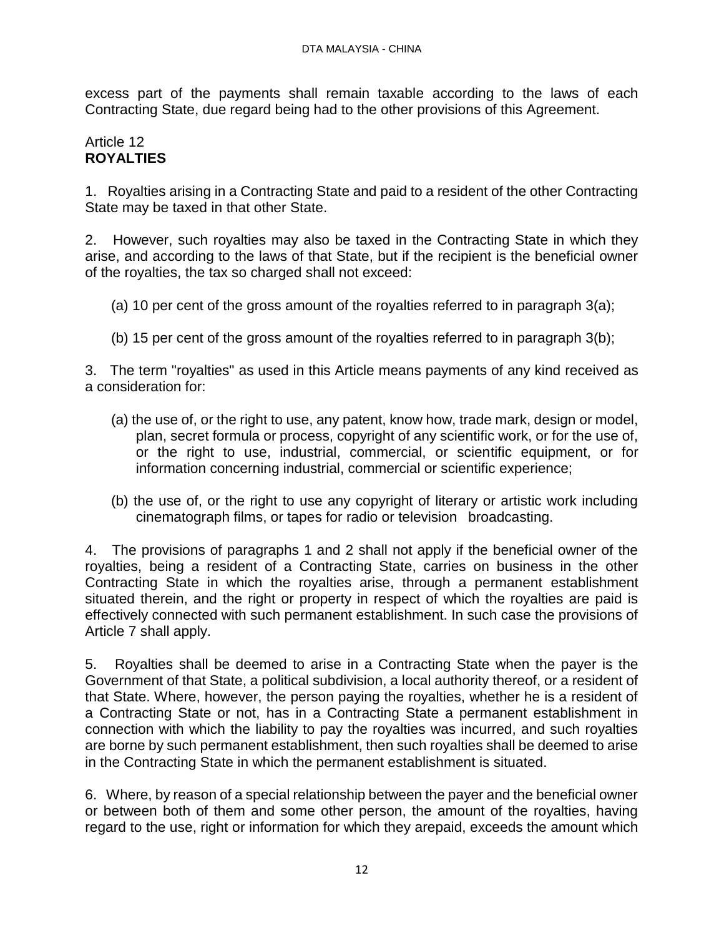excess part of the payments shall remain taxable according to the laws of each Contracting State, due regard being had to the other provisions of this Agreement.

## Article 12 **ROYALTIES**

1. Royalties arising in a Contracting State and paid to a resident of the other Contracting State may be taxed in that other State.

2. However, such royalties may also be taxed in the Contracting State in which they arise, and according to the laws of that State, but if the recipient is the beneficial owner of the royalties, the tax so charged shall not exceed:

- (a) 10 per cent of the gross amount of the royalties referred to in paragraph 3(a);
- (b) 15 per cent of the gross amount of the royalties referred to in paragraph 3(b);

3. The term "royalties" as used in this Article means payments of any kind received as a consideration for:

- (a) the use of, or the right to use, any patent, know how, trade mark, design or model, plan, secret formula or process, copyright of any scientific work, or for the use of, or the right to use, industrial, commercial, or scientific equipment, or for information concerning industrial, commercial or scientific experience;
- (b) the use of, or the right to use any copyright of literary or artistic work including cinematograph films, or tapes for radio or television broadcasting.

4. The provisions of paragraphs 1 and 2 shall not apply if the beneficial owner of the royalties, being a resident of a Contracting State, carries on business in the other Contracting State in which the royalties arise, through a permanent establishment situated therein, and the right or property in respect of which the royalties are paid is effectively connected with such permanent establishment. In such case the provisions of Article 7 shall apply.

5. Royalties shall be deemed to arise in a Contracting State when the payer is the Government of that State, a political subdivision, a local authority thereof, or a resident of that State. Where, however, the person paying the royalties, whether he is a resident of a Contracting State or not, has in a Contracting State a permanent establishment in connection with which the liability to pay the royalties was incurred, and such royalties are borne by such permanent establishment, then such royalties shall be deemed to arise in the Contracting State in which the permanent establishment is situated.

6. Where, by reason of a special relationship between the payer and the beneficial owner or between both of them and some other person, the amount of the royalties, having regard to the use, right or information for which they arepaid, exceeds the amount which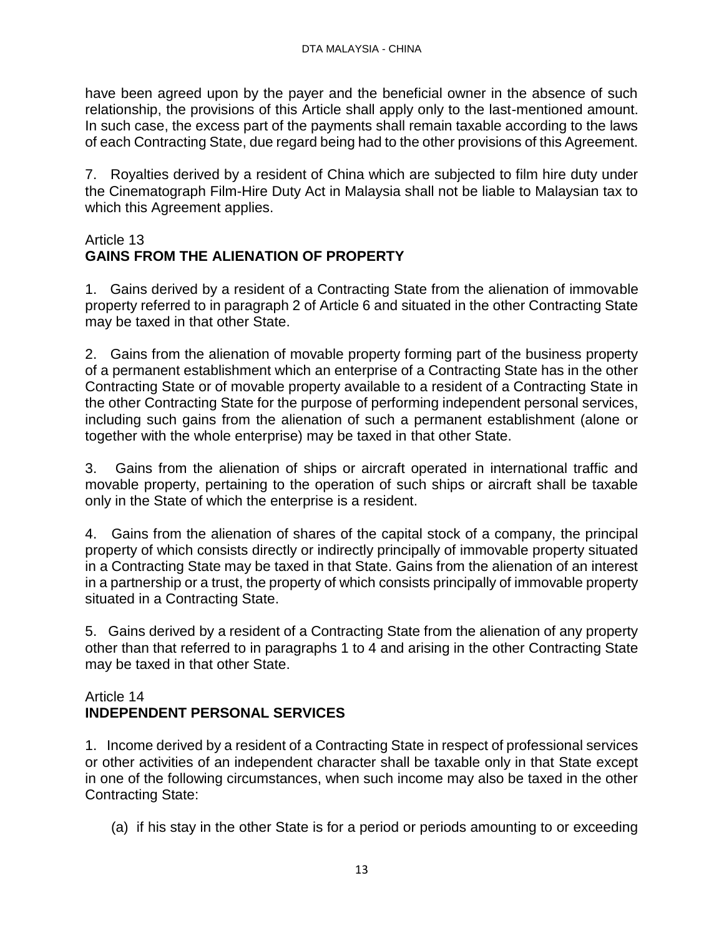have been agreed upon by the payer and the beneficial owner in the absence of such relationship, the provisions of this Article shall apply only to the last-mentioned amount. In such case, the excess part of the payments shall remain taxable according to the laws of each Contracting State, due regard being had to the other provisions of this Agreement.

7. Royalties derived by a resident of China which are subjected to film hire duty under the Cinematograph Film-Hire Duty Act in Malaysia shall not be liable to Malaysian tax to which this Agreement applies.

#### Article 13 **GAINS FROM THE ALIENATION OF PROPERTY**

1. Gains derived by a resident of a Contracting State from the alienation of immovable property referred to in paragraph 2 of Article 6 and situated in the other Contracting State may be taxed in that other State.

2. Gains from the alienation of movable property forming part of the business property of a permanent establishment which an enterprise of a Contracting State has in the other Contracting State or of movable property available to a resident of a Contracting State in the other Contracting State for the purpose of performing independent personal services, including such gains from the alienation of such a permanent establishment (alone or together with the whole enterprise) may be taxed in that other State.

3. Gains from the alienation of ships or aircraft operated in international traffic and movable property, pertaining to the operation of such ships or aircraft shall be taxable only in the State of which the enterprise is a resident.

4. Gains from the alienation of shares of the capital stock of a company, the principal property of which consists directly or indirectly principally of immovable property situated in a Contracting State may be taxed in that State. Gains from the alienation of an interest in a partnership or a trust, the property of which consists principally of immovable property situated in a Contracting State.

5. Gains derived by a resident of a Contracting State from the alienation of any property other than that referred to in paragraphs 1 to 4 and arising in the other Contracting State may be taxed in that other State.

## Article 14 **INDEPENDENT PERSONAL SERVICES**

1. Income derived by a resident of a Contracting State in respect of professional services or other activities of an independent character shall be taxable only in that State except in one of the following circumstances, when such income may also be taxed in the other Contracting State:

(a) if his stay in the other State is for a period or periods amounting to or exceeding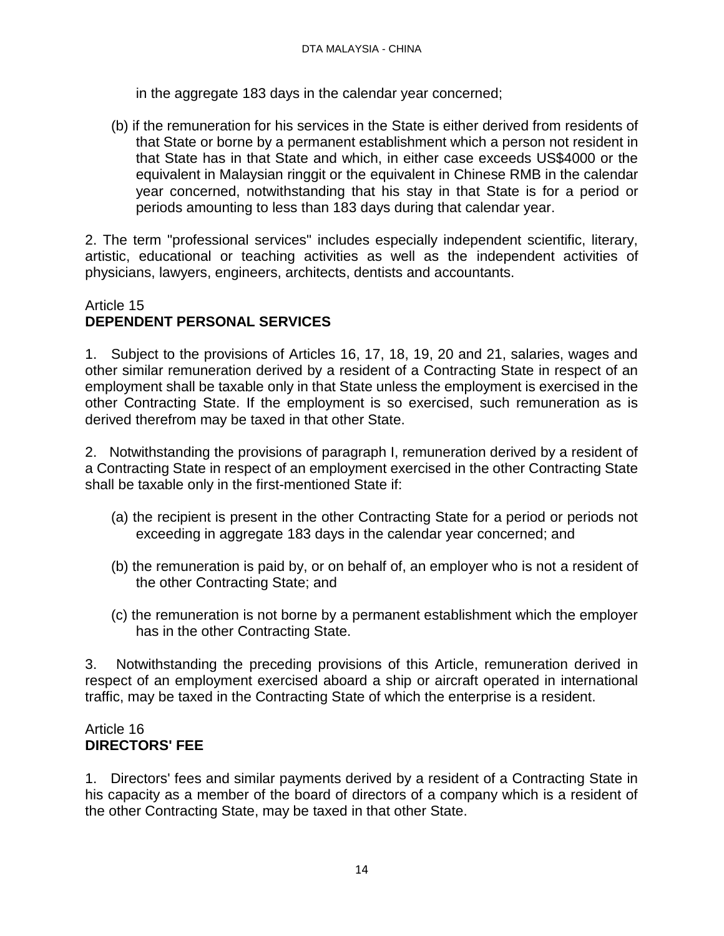in the aggregate 183 days in the calendar year concerned;

(b) if the remuneration for his services in the State is either derived from residents of that State or borne by a permanent establishment which a person not resident in that State has in that State and which, in either case exceeds US\$4000 or the equivalent in Malaysian ringgit or the equivalent in Chinese RMB in the calendar year concerned, notwithstanding that his stay in that State is for a period or periods amounting to less than 183 days during that calendar year.

2. The term "professional services" includes especially independent scientific, literary, artistic, educational or teaching activities as well as the independent activities of physicians, lawyers, engineers, architects, dentists and accountants.

## Article 15 **DEPENDENT PERSONAL SERVICES**

1. Subject to the provisions of Articles 16, 17, 18, 19, 20 and 21, salaries, wages and other similar remuneration derived by a resident of a Contracting State in respect of an employment shall be taxable only in that State unless the employment is exercised in the other Contracting State. If the employment is so exercised, such remuneration as is derived therefrom may be taxed in that other State.

2. Notwithstanding the provisions of paragraph I, remuneration derived by a resident of a Contracting State in respect of an employment exercised in the other Contracting State shall be taxable only in the first-mentioned State if:

- (a) the recipient is present in the other Contracting State for a period or periods not exceeding in aggregate 183 days in the calendar year concerned; and
- (b) the remuneration is paid by, or on behalf of, an employer who is not a resident of the other Contracting State; and
- (c) the remuneration is not borne by a permanent establishment which the employer has in the other Contracting State.

3. Notwithstanding the preceding provisions of this Article, remuneration derived in respect of an employment exercised aboard a ship or aircraft operated in international traffic, may be taxed in the Contracting State of which the enterprise is a resident.

## Article 16 **DIRECTORS' FEE**

1. Directors' fees and similar payments derived by a resident of a Contracting State in his capacity as a member of the board of directors of a company which is a resident of the other Contracting State, may be taxed in that other State.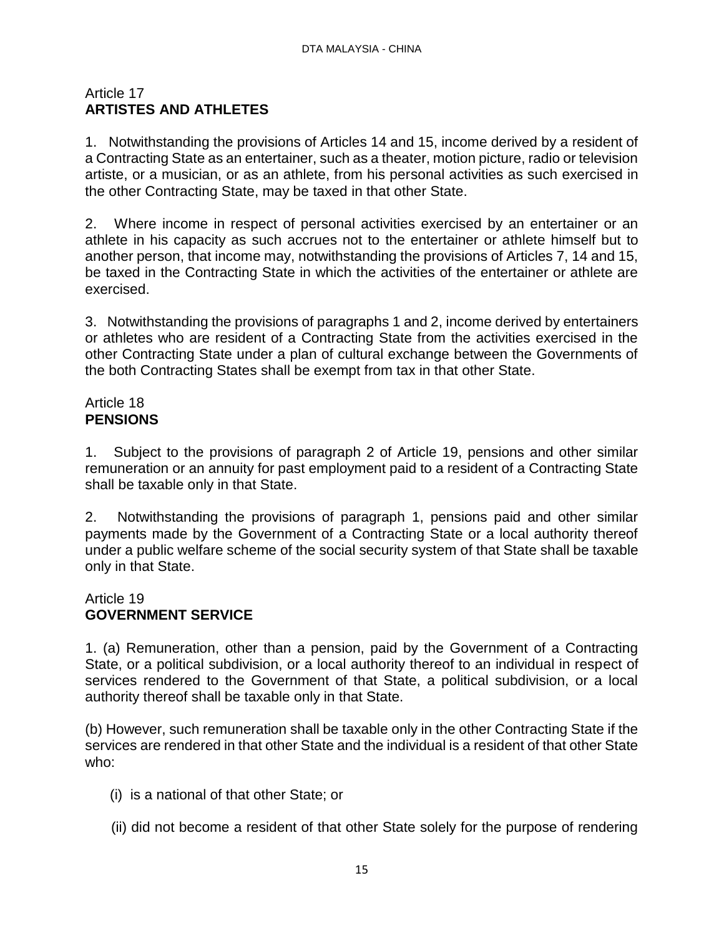## Article 17 **ARTISTES AND ATHLETES**

1. Notwithstanding the provisions of Articles 14 and 15, income derived by a resident of a Contracting State as an entertainer, such as a theater, motion picture, radio or television artiste, or a musician, or as an athlete, from his personal activities as such exercised in the other Contracting State, may be taxed in that other State.

2. Where income in respect of personal activities exercised by an entertainer or an athlete in his capacity as such accrues not to the entertainer or athlete himself but to another person, that income may, notwithstanding the provisions of Articles 7, 14 and 15, be taxed in the Contracting State in which the activities of the entertainer or athlete are exercised.

3. Notwithstanding the provisions of paragraphs 1 and 2, income derived by entertainers or athletes who are resident of a Contracting State from the activities exercised in the other Contracting State under a plan of cultural exchange between the Governments of the both Contracting States shall be exempt from tax in that other State.

## Article 18 **PENSIONS**

1. Subject to the provisions of paragraph 2 of Article 19, pensions and other similar remuneration or an annuity for past employment paid to a resident of a Contracting State shall be taxable only in that State.

2. Notwithstanding the provisions of paragraph 1, pensions paid and other similar payments made by the Government of a Contracting State or a local authority thereof under a public welfare scheme of the social security system of that State shall be taxable only in that State.

## Article 19 **GOVERNMENT SERVICE**

1. (a) Remuneration, other than a pension, paid by the Government of a Contracting State, or a political subdivision, or a local authority thereof to an individual in respect of services rendered to the Government of that State, a political subdivision, or a local authority thereof shall be taxable only in that State.

(b) However, such remuneration shall be taxable only in the other Contracting State if the services are rendered in that other State and the individual is a resident of that other State who:

- (i) is a national of that other State; or
- (ii) did not become a resident of that other State solely for the purpose of rendering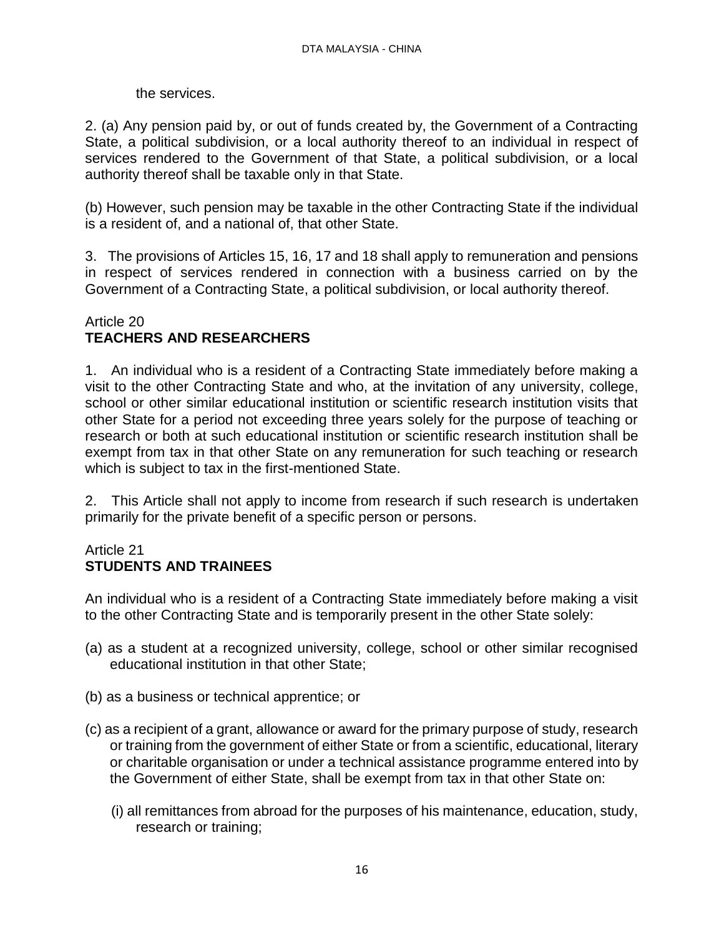## the services.

2. (a) Any pension paid by, or out of funds created by, the Government of a Contracting State, a political subdivision, or a local authority thereof to an individual in respect of services rendered to the Government of that State, a political subdivision, or a local authority thereof shall be taxable only in that State.

(b) However, such pension may be taxable in the other Contracting State if the individual is a resident of, and a national of, that other State.

3. The provisions of Articles 15, 16, 17 and 18 shall apply to remuneration and pensions in respect of services rendered in connection with a business carried on by the Government of a Contracting State, a political subdivision, or local authority thereof.

## Article 20 **TEACHERS AND RESEARCHERS**

1. An individual who is a resident of a Contracting State immediately before making a visit to the other Contracting State and who, at the invitation of any university, college, school or other similar educational institution or scientific research institution visits that other State for a period not exceeding three years solely for the purpose of teaching or research or both at such educational institution or scientific research institution shall be exempt from tax in that other State on any remuneration for such teaching or research which is subject to tax in the first-mentioned State.

2. This Article shall not apply to income from research if such research is undertaken primarily for the private benefit of a specific person or persons.

## Article 21 **STUDENTS AND TRAINEES**

An individual who is a resident of a Contracting State immediately before making a visit to the other Contracting State and is temporarily present in the other State solely:

- (a) as a student at a recognized university, college, school or other similar recognised educational institution in that other State;
- (b) as a business or technical apprentice; or
- (c) as a recipient of a grant, allowance or award for the primary purpose of study, research or training from the government of either State or from a scientific, educational, literary or charitable organisation or under a technical assistance programme entered into by the Government of either State, shall be exempt from tax in that other State on:
	- (i) all remittances from abroad for the purposes of his maintenance, education, study, research or training;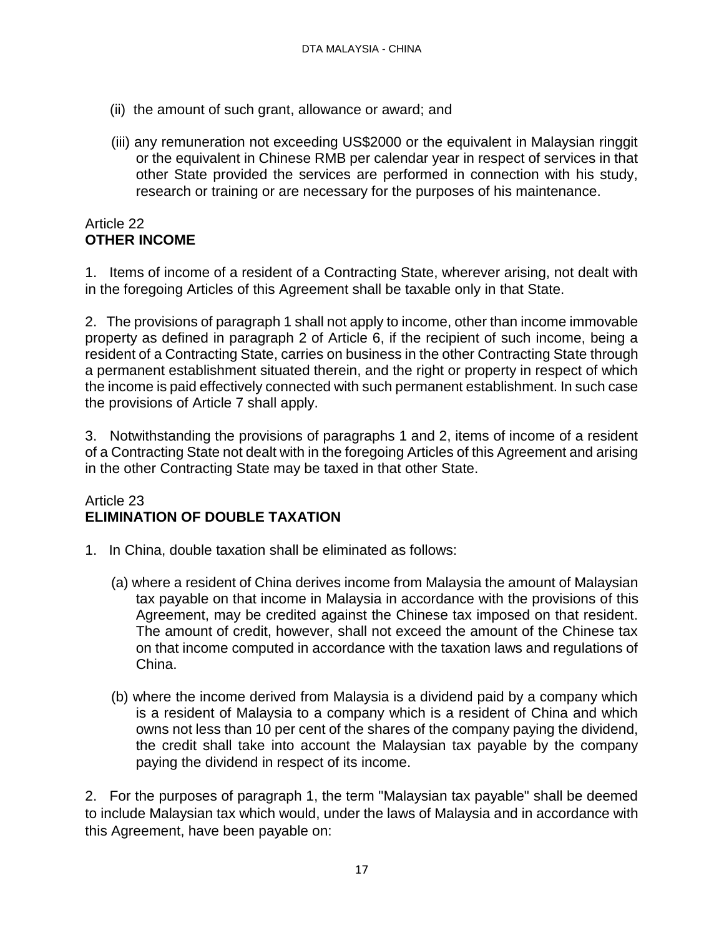- (ii) the amount of such grant, allowance or award; and
- (iii) any remuneration not exceeding US\$2000 or the equivalent in Malaysian ringgit or the equivalent in Chinese RMB per calendar year in respect of services in that other State provided the services are performed in connection with his study, research or training or are necessary for the purposes of his maintenance.

## Article 22 **OTHER INCOME**

1. Items of income of a resident of a Contracting State, wherever arising, not dealt with in the foregoing Articles of this Agreement shall be taxable only in that State.

2. The provisions of paragraph 1 shall not apply to income, other than income immovable property as defined in paragraph 2 of Article 6, if the recipient of such income, being a resident of a Contracting State, carries on business in the other Contracting State through a permanent establishment situated therein, and the right or property in respect of which the income is paid effectively connected with such permanent establishment. In such case the provisions of Article 7 shall apply.

3. Notwithstanding the provisions of paragraphs 1 and 2, items of income of a resident of a Contracting State not dealt with in the foregoing Articles of this Agreement and arising in the other Contracting State may be taxed in that other State.

## Article 23 **ELIMINATION OF DOUBLE TAXATION**

- 1. In China, double taxation shall be eliminated as follows:
	- (a) where a resident of China derives income from Malaysia the amount of Malaysian tax payable on that income in Malaysia in accordance with the provisions of this Agreement, may be credited against the Chinese tax imposed on that resident. The amount of credit, however, shall not exceed the amount of the Chinese tax on that income computed in accordance with the taxation laws and regulations of China.
	- (b) where the income derived from Malaysia is a dividend paid by a company which is a resident of Malaysia to a company which is a resident of China and which owns not less than 10 per cent of the shares of the company paying the dividend, the credit shall take into account the Malaysian tax payable by the company paying the dividend in respect of its income.

2. For the purposes of paragraph 1, the term "Malaysian tax payable" shall be deemed to include Malaysian tax which would, under the laws of Malaysia and in accordance with this Agreement, have been payable on: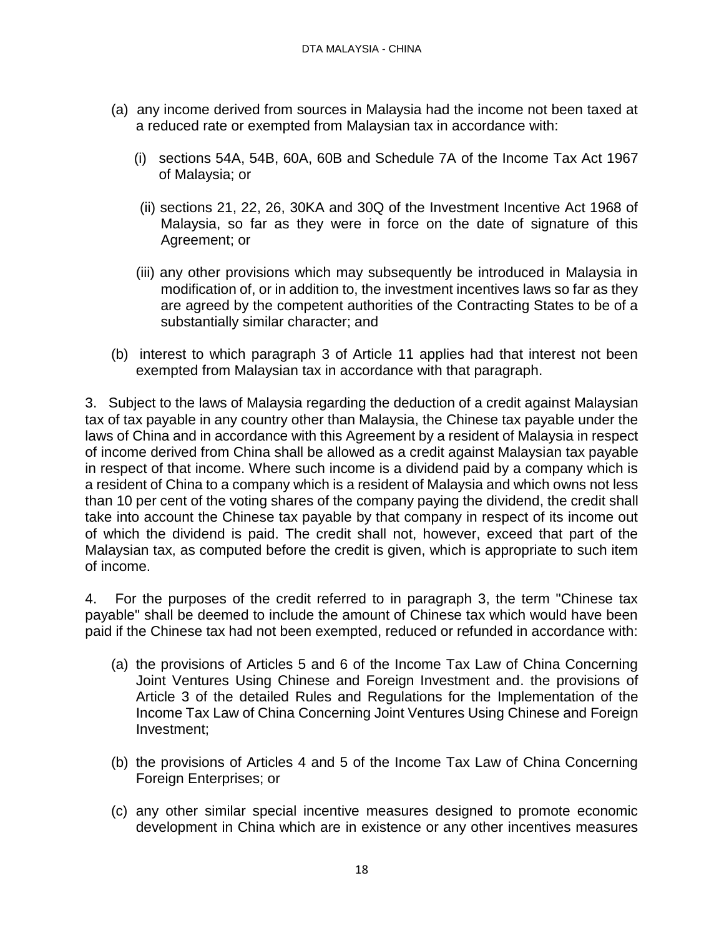- (a) any income derived from sources in Malaysia had the income not been taxed at a reduced rate or exempted from Malaysian tax in accordance with:
	- (i) sections 54A, 54B, 60A, 60B and Schedule 7A of the Income Tax Act 1967 of Malaysia; or
	- (ii) sections 21, 22, 26, 30KA and 30Q of the Investment Incentive Act 1968 of Malaysia, so far as they were in force on the date of signature of this Agreement; or
	- (iii) any other provisions which may subsequently be introduced in Malaysia in modification of, or in addition to, the investment incentives laws so far as they are agreed by the competent authorities of the Contracting States to be of a substantially similar character; and
- (b) interest to which paragraph 3 of Article 11 applies had that interest not been exempted from Malaysian tax in accordance with that paragraph.

3. Subject to the laws of Malaysia regarding the deduction of a credit against Malaysian tax of tax payable in any country other than Malaysia, the Chinese tax payable under the laws of China and in accordance with this Agreement by a resident of Malaysia in respect of income derived from China shall be allowed as a credit against Malaysian tax payable in respect of that income. Where such income is a dividend paid by a company which is a resident of China to a company which is a resident of Malaysia and which owns not less than 10 per cent of the voting shares of the company paying the dividend, the credit shall take into account the Chinese tax payable by that company in respect of its income out of which the dividend is paid. The credit shall not, however, exceed that part of the Malaysian tax, as computed before the credit is given, which is appropriate to such item of income.

4. For the purposes of the credit referred to in paragraph 3, the term "Chinese tax payable" shall be deemed to include the amount of Chinese tax which would have been paid if the Chinese tax had not been exempted, reduced or refunded in accordance with:

- (a) the provisions of Articles 5 and 6 of the Income Tax Law of China Concerning Joint Ventures Using Chinese and Foreign Investment and. the provisions of Article 3 of the detailed Rules and Regulations for the Implementation of the Income Tax Law of China Concerning Joint Ventures Using Chinese and Foreign Investment;
- (b) the provisions of Articles 4 and 5 of the Income Tax Law of China Concerning Foreign Enterprises; or
- (c) any other similar special incentive measures designed to promote economic development in China which are in existence or any other incentives measures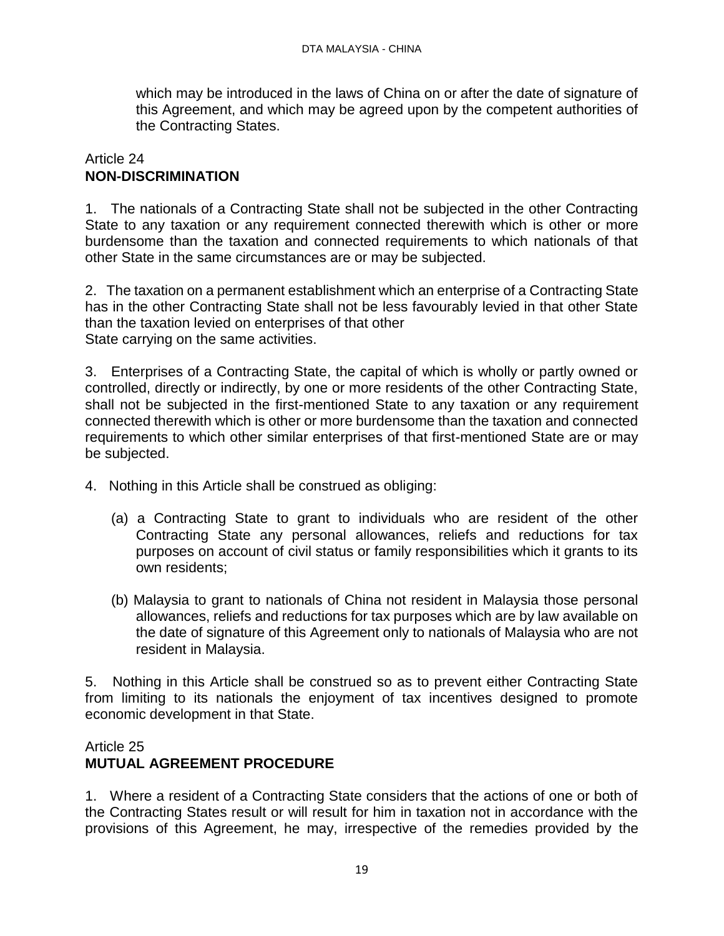which may be introduced in the laws of China on or after the date of signature of this Agreement, and which may be agreed upon by the competent authorities of the Contracting States.

#### Article 24 **NON-DISCRIMINATION**

1. The nationals of a Contracting State shall not be subjected in the other Contracting State to any taxation or any requirement connected therewith which is other or more burdensome than the taxation and connected requirements to which nationals of that other State in the same circumstances are or may be subjected.

2. The taxation on a permanent establishment which an enterprise of a Contracting State has in the other Contracting State shall not be less favourably levied in that other State than the taxation levied on enterprises of that other State carrying on the same activities.

3. Enterprises of a Contracting State, the capital of which is wholly or partly owned or controlled, directly or indirectly, by one or more residents of the other Contracting State, shall not be subjected in the first-mentioned State to any taxation or any requirement connected therewith which is other or more burdensome than the taxation and connected requirements to which other similar enterprises of that first-mentioned State are or may be subjected.

- 4. Nothing in this Article shall be construed as obliging:
	- (a) a Contracting State to grant to individuals who are resident of the other Contracting State any personal allowances, reliefs and reductions for tax purposes on account of civil status or family responsibilities which it grants to its own residents;
	- (b) Malaysia to grant to nationals of China not resident in Malaysia those personal allowances, reliefs and reductions for tax purposes which are by law available on the date of signature of this Agreement only to nationals of Malaysia who are not resident in Malaysia.

5. Nothing in this Article shall be construed so as to prevent either Contracting State from limiting to its nationals the enjoyment of tax incentives designed to promote economic development in that State.

#### Article 25

# **MUTUAL AGREEMENT PROCEDURE**

1. Where a resident of a Contracting State considers that the actions of one or both of the Contracting States result or will result for him in taxation not in accordance with the provisions of this Agreement, he may, irrespective of the remedies provided by the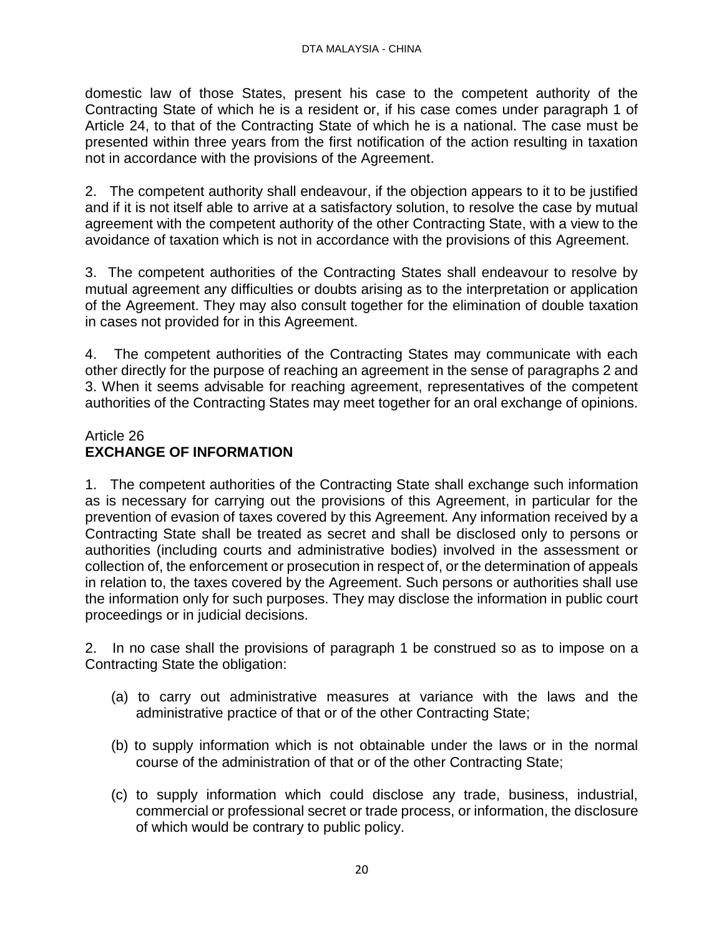domestic law of those States, present his case to the competent authority of the Contracting State of which he is a resident or, if his case comes under paragraph 1 of Article 24, to that of the Contracting State of which he is a national. The case must be presented within three years from the first notification of the action resulting in taxation not in accordance with the provisions of the Agreement.

2. The competent authority shall endeavour, if the objection appears to it to be justified and if it is not itself able to arrive at a satisfactory solution, to resolve the case by mutual agreement with the competent authority of the other Contracting State, with a view to the avoidance of taxation which is not in accordance with the provisions of this Agreement.

3. The competent authorities of the Contracting States shall endeavour to resolve by mutual agreement any difficulties or doubts arising as to the interpretation or application of the Agreement. They may also consult together for the elimination of double taxation in cases not provided for in this Agreement.

4. The competent authorities of the Contracting States may communicate with each other directly for the purpose of reaching an agreement in the sense of paragraphs 2 and 3. When it seems advisable for reaching agreement, representatives of the competent authorities of the Contracting States may meet together for an oral exchange of opinions.

## Article 26 **EXCHANGE OF INFORMATION**

1. The competent authorities of the Contracting State shall exchange such information as is necessary for carrying out the provisions of this Agreement, in particular for the prevention of evasion of taxes covered by this Agreement. Any information received by a Contracting State shall be treated as secret and shall be disclosed only to persons or authorities (including courts and administrative bodies) involved in the assessment or collection of, the enforcement or prosecution in respect of, or the determination of appeals in relation to, the taxes covered by the Agreement. Such persons or authorities shall use the information only for such purposes. They may disclose the information in public court proceedings or in judicial decisions.

2. In no case shall the provisions of paragraph 1 be construed so as to impose on a Contracting State the obligation:

- (a) to carry out administrative measures at variance with the laws and the administrative practice of that or of the other Contracting State;
- (b) to supply information which is not obtainable under the laws or in the normal course of the administration of that or of the other Contracting State;
- (c) to supply information which could disclose any trade, business, industrial, commercial or professional secret or trade process, or information, the disclosure of which would be contrary to public policy.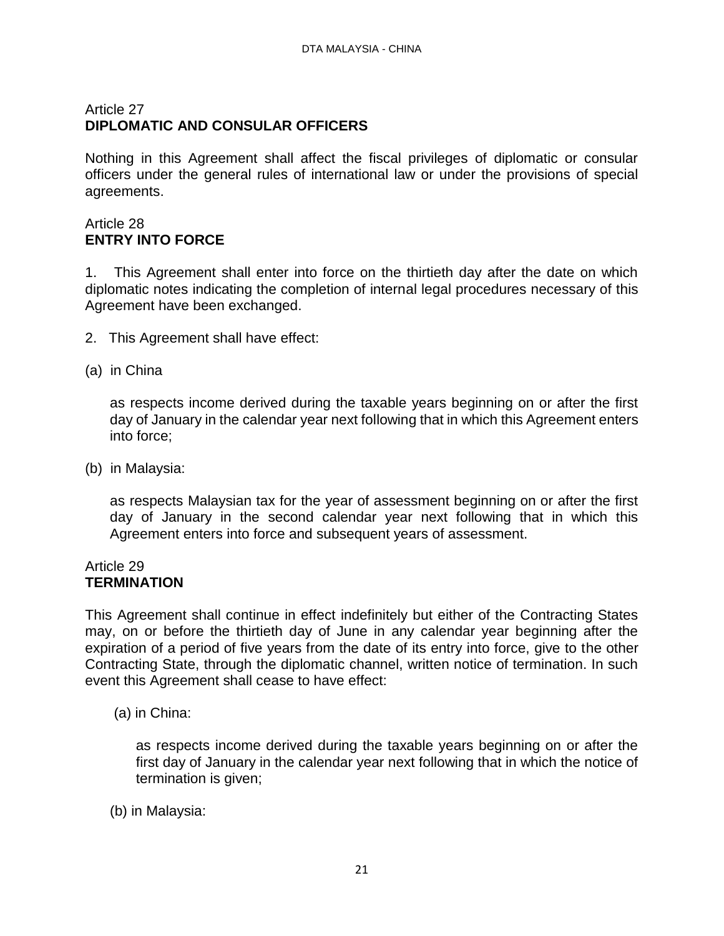# Article 27 **DIPLOMATIC AND CONSULAR OFFICERS**

Nothing in this Agreement shall affect the fiscal privileges of diplomatic or consular officers under the general rules of international law or under the provisions of special agreements.

## Article 28 **ENTRY INTO FORCE**

1. This Agreement shall enter into force on the thirtieth day after the date on which diplomatic notes indicating the completion of internal legal procedures necessary of this Agreement have been exchanged.

- 2. This Agreement shall have effect:
- (a) in China

as respects income derived during the taxable years beginning on or after the first day of January in the calendar year next following that in which this Agreement enters into force;

(b) in Malaysia:

as respects Malaysian tax for the year of assessment beginning on or after the first day of January in the second calendar year next following that in which this Agreement enters into force and subsequent years of assessment.

#### Article 29 **TERMINATION**

This Agreement shall continue in effect indefinitely but either of the Contracting States may, on or before the thirtieth day of June in any calendar year beginning after the expiration of a period of five years from the date of its entry into force, give to the other Contracting State, through the diplomatic channel, written notice of termination. In such event this Agreement shall cease to have effect:

(a) in China:

as respects income derived during the taxable years beginning on or after the first day of January in the calendar year next following that in which the notice of termination is given;

(b) in Malaysia: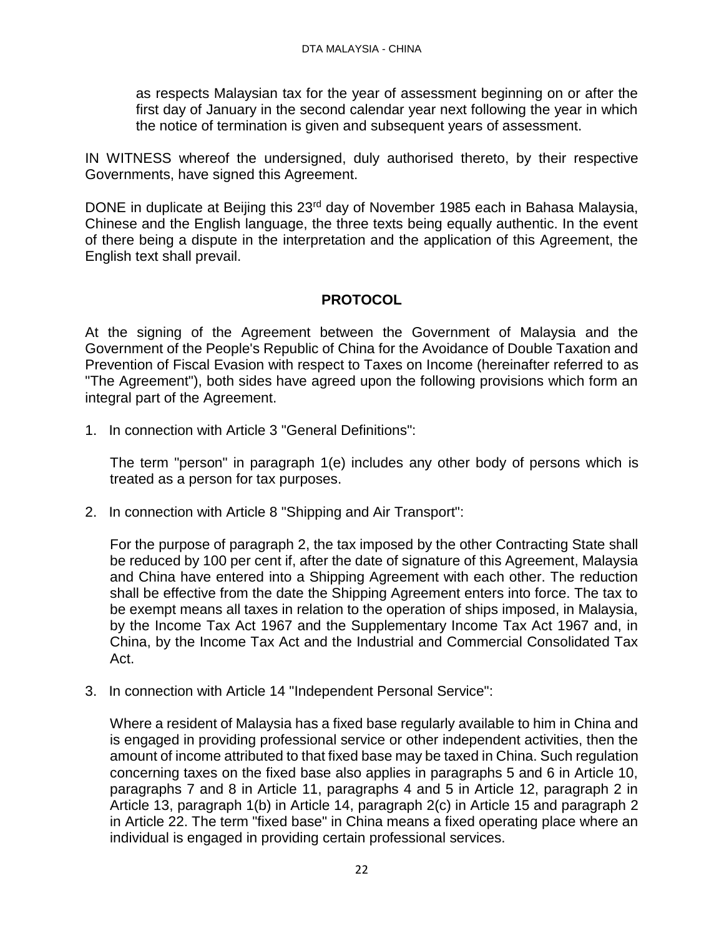as respects Malaysian tax for the year of assessment beginning on or after the first day of January in the second calendar year next following the year in which the notice of termination is given and subsequent years of assessment.

IN WITNESS whereof the undersigned, duly authorised thereto, by their respective Governments, have signed this Agreement.

DONE in duplicate at Beijing this 23rd day of November 1985 each in Bahasa Malaysia, Chinese and the English language, the three texts being equally authentic. In the event of there being a dispute in the interpretation and the application of this Agreement, the English text shall prevail.

## **PROTOCOL**

At the signing of the Agreement between the Government of Malaysia and the Government of the People's Republic of China for the Avoidance of Double Taxation and Prevention of Fiscal Evasion with respect to Taxes on Income (hereinafter referred to as "The Agreement"), both sides have agreed upon the following provisions which form an integral part of the Agreement.

1. In connection with Article 3 "General Definitions":

The term "person" in paragraph 1(e) includes any other body of persons which is treated as a person for tax purposes.

2. In connection with Article 8 "Shipping and Air Transport":

For the purpose of paragraph 2, the tax imposed by the other Contracting State shall be reduced by 100 per cent if, after the date of signature of this Agreement, Malaysia and China have entered into a Shipping Agreement with each other. The reduction shall be effective from the date the Shipping Agreement enters into force. The tax to be exempt means all taxes in relation to the operation of ships imposed, in Malaysia, by the Income Tax Act 1967 and the Supplementary Income Tax Act 1967 and, in China, by the Income Tax Act and the Industrial and Commercial Consolidated Tax Act.

3. In connection with Article 14 "Independent Personal Service":

Where a resident of Malaysia has a fixed base regularly available to him in China and is engaged in providing professional service or other independent activities, then the amount of income attributed to that fixed base may be taxed in China. Such regulation concerning taxes on the fixed base also applies in paragraphs 5 and 6 in Article 10, paragraphs 7 and 8 in Article 11, paragraphs 4 and 5 in Article 12, paragraph 2 in Article 13, paragraph 1(b) in Article 14, paragraph 2(c) in Article 15 and paragraph 2 in Article 22. The term "fixed base" in China means a fixed operating place where an individual is engaged in providing certain professional services.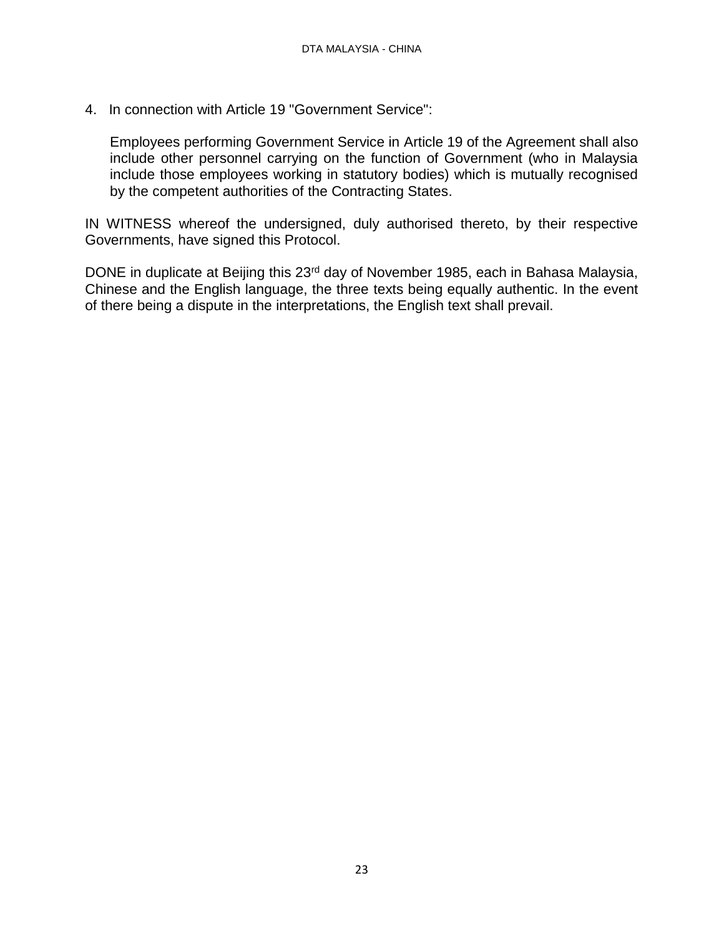4. In connection with Article 19 "Government Service":

Employees performing Government Service in Article 19 of the Agreement shall also include other personnel carrying on the function of Government (who in Malaysia include those employees working in statutory bodies) which is mutually recognised by the competent authorities of the Contracting States.

IN WITNESS whereof the undersigned, duly authorised thereto, by their respective Governments, have signed this Protocol.

DONE in duplicate at Beijing this 23<sup>rd</sup> day of November 1985, each in Bahasa Malaysia, Chinese and the English language, the three texts being equally authentic. In the event of there being a dispute in the interpretations, the English text shall prevail.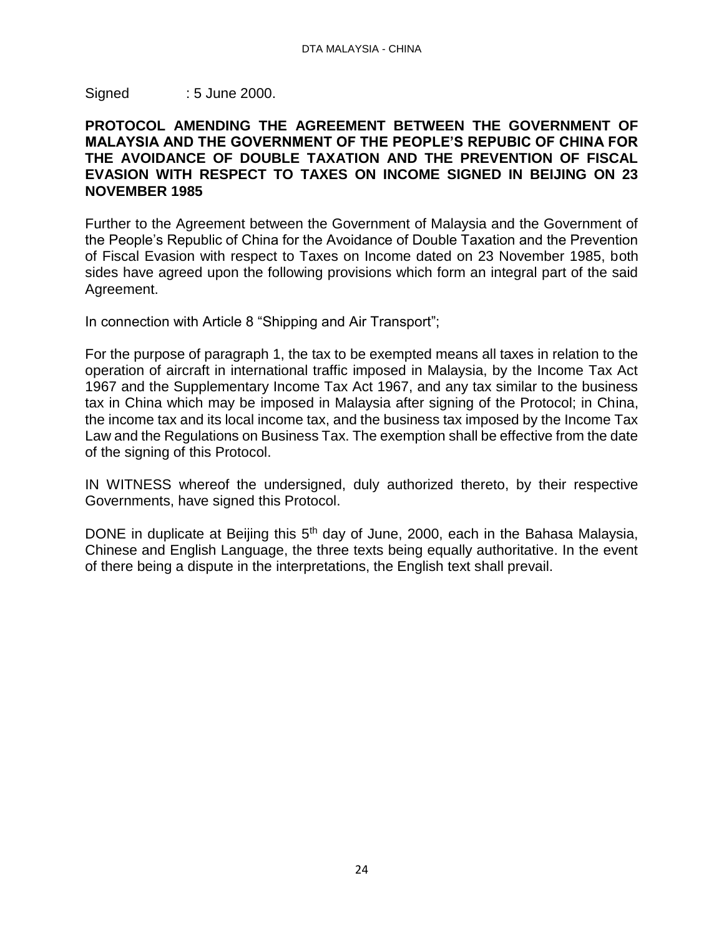<span id="page-23-0"></span>Signed : 5 June 2000.

#### **PROTOCOL AMENDING THE AGREEMENT BETWEEN THE GOVERNMENT OF MALAYSIA AND THE GOVERNMENT OF THE PEOPLE'S REPUBIC OF CHINA FOR THE AVOIDANCE OF DOUBLE TAXATION AND THE PREVENTION OF FISCAL EVASION WITH RESPECT TO TAXES ON INCOME SIGNED IN BEIJING ON 23 NOVEMBER 1985**

Further to the Agreement between the Government of Malaysia and the Government of the People's Republic of China for the Avoidance of Double Taxation and the Prevention of Fiscal Evasion with respect to Taxes on Income dated on 23 November 1985, both sides have agreed upon the following provisions which form an integral part of the said Agreement.

In connection with Article 8 "Shipping and Air Transport";

For the purpose of paragraph 1, the tax to be exempted means all taxes in relation to the operation of aircraft in international traffic imposed in Malaysia, by the Income Tax Act 1967 and the Supplementary Income Tax Act 1967, and any tax similar to the business tax in China which may be imposed in Malaysia after signing of the Protocol; in China, the income tax and its local income tax, and the business tax imposed by the Income Tax Law and the Regulations on Business Tax. The exemption shall be effective from the date of the signing of this Protocol.

IN WITNESS whereof the undersigned, duly authorized thereto, by their respective Governments, have signed this Protocol.

DONE in duplicate at Beijing this  $5<sup>th</sup>$  day of June, 2000, each in the Bahasa Malaysia, Chinese and English Language, the three texts being equally authoritative. In the event of there being a dispute in the interpretations, the English text shall prevail.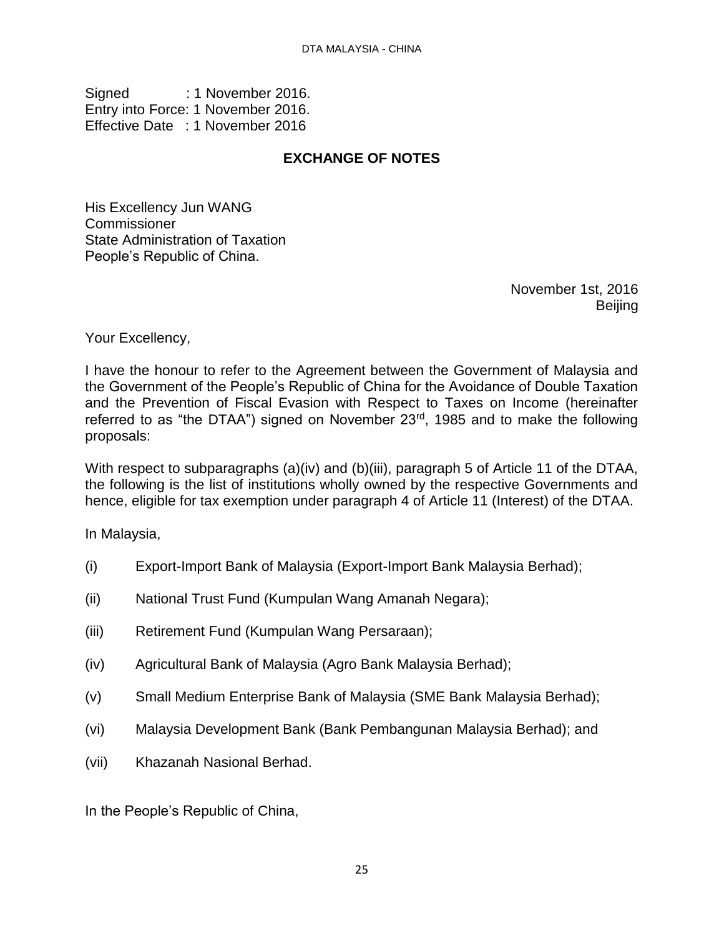<span id="page-24-0"></span>Signed : 1 November 2016. Entry into Force: 1 November 2016. Effective Date : 1 November 2016

## **EXCHANGE OF NOTES**

His Excellency Jun WANG **Commissioner** State Administration of Taxation People's Republic of China.

> November 1st, 2016 Beijing

Your Excellency,

I have the honour to refer to the Agreement between the Government of Malaysia and the Government of the People's Republic of China for the Avoidance of Double Taxation and the Prevention of Fiscal Evasion with Respect to Taxes on Income (hereinafter referred to as "the DTAA") signed on November 23<sup>rd</sup>, 1985 and to make the following proposals:

With respect to subparagraphs (a)(iv) and (b)(iii), paragraph 5 of Article 11 of the DTAA, the following is the list of institutions wholly owned by the respective Governments and hence, eligible for tax exemption under paragraph 4 of Article 11 (Interest) of the DTAA.

In Malaysia,

- (i) Export-Import Bank of Malaysia (Export-Import Bank Malaysia Berhad);
- (ii) National Trust Fund (Kumpulan Wang Amanah Negara);
- (iii) Retirement Fund (Kumpulan Wang Persaraan);
- (iv) Agricultural Bank of Malaysia (Agro Bank Malaysia Berhad);
- (v) Small Medium Enterprise Bank of Malaysia (SME Bank Malaysia Berhad);
- (vi) Malaysia Development Bank (Bank Pembangunan Malaysia Berhad); and
- (vii) Khazanah Nasional Berhad.

In the People's Republic of China,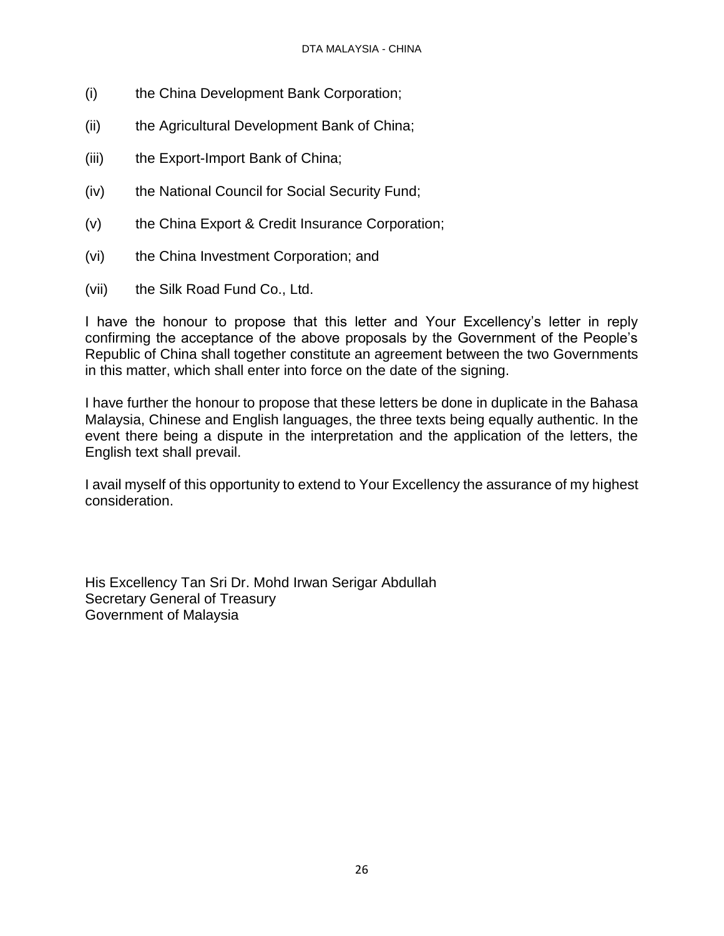- (i) the China Development Bank Corporation;
- (ii) the Agricultural Development Bank of China;
- (iii) the Export-Import Bank of China;
- (iv) the National Council for Social Security Fund;
- (v) the China Export & Credit Insurance Corporation;
- (vi) the China Investment Corporation; and
- (vii) the Silk Road Fund Co., Ltd.

I have the honour to propose that this letter and Your Excellency's letter in reply confirming the acceptance of the above proposals by the Government of the People's Republic of China shall together constitute an agreement between the two Governments in this matter, which shall enter into force on the date of the signing.

I have further the honour to propose that these letters be done in duplicate in the Bahasa Malaysia, Chinese and English languages, the three texts being equally authentic. In the event there being a dispute in the interpretation and the application of the letters, the English text shall prevail.

I avail myself of this opportunity to extend to Your Excellency the assurance of my highest consideration.

His Excellency Tan Sri Dr. Mohd Irwan Serigar Abdullah Secretary General of Treasury Government of Malaysia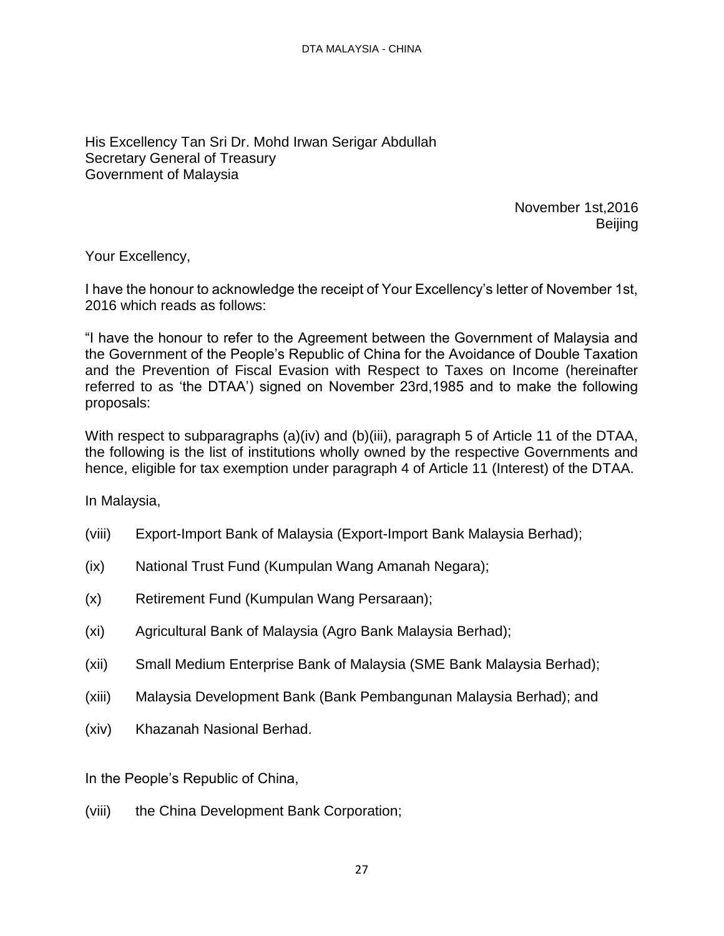His Excellency Tan Sri Dr. Mohd Irwan Serigar Abdullah Secretary General of Treasury Government of Malaysia

> November 1st,2016 Beijing

Your Excellency,

I have the honour to acknowledge the receipt of Your Excellency's letter of November 1st, 2016 which reads as follows:

"I have the honour to refer to the Agreement between the Government of Malaysia and the Government of the People's Republic of China for the Avoidance of Double Taxation and the Prevention of Fiscal Evasion with Respect to Taxes on Income (hereinafter referred to as 'the DTAA') signed on November 23rd,1985 and to make the following proposals:

With respect to subparagraphs (a)(iv) and (b)(iii), paragraph 5 of Article 11 of the DTAA, the following is the list of institutions wholly owned by the respective Governments and hence, eligible for tax exemption under paragraph 4 of Article 11 (Interest) of the DTAA.

In Malaysia,

- (viii) Export-Import Bank of Malaysia (Export-Import Bank Malaysia Berhad);
- (ix) National Trust Fund (Kumpulan Wang Amanah Negara);
- (x) Retirement Fund (Kumpulan Wang Persaraan);
- (xi) Agricultural Bank of Malaysia (Agro Bank Malaysia Berhad);
- (xii) Small Medium Enterprise Bank of Malaysia (SME Bank Malaysia Berhad);
- (xiii) Malaysia Development Bank (Bank Pembangunan Malaysia Berhad); and
- (xiv) Khazanah Nasional Berhad.

In the People's Republic of China,

(viii) the China Development Bank Corporation;